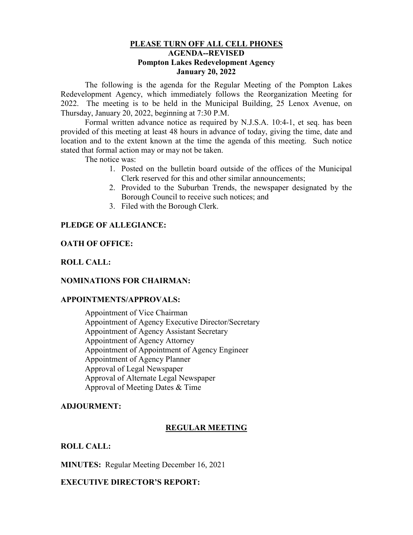## **PLEASE TURN OFF ALL CELL PHONES AGENDA--REVISED Pompton Lakes Redevelopment Agency January 20, 2022**

The following is the agenda for the Regular Meeting of the Pompton Lakes Redevelopment Agency, which immediately follows the Reorganization Meeting for 2022. The meeting is to be held in the Municipal Building, 25 Lenox Avenue, on Thursday, January 20, 2022, beginning at 7:30 P.M.

Formal written advance notice as required by N.J.S.A. 10:4-1, et seq. has been provided of this meeting at least 48 hours in advance of today, giving the time, date and location and to the extent known at the time the agenda of this meeting. Such notice stated that formal action may or may not be taken.

The notice was:

- 1. Posted on the bulletin board outside of the offices of the Municipal Clerk reserved for this and other similar announcements;
- 2. Provided to the Suburban Trends, the newspaper designated by the Borough Council to receive such notices; and
- 3. Filed with the Borough Clerk.

# **PLEDGE OF ALLEGIANCE:**

## **OATH OF OFFICE:**

## **ROLL CALL:**

#### **NOMINATIONS FOR CHAIRMAN:**

#### **APPOINTMENTS/APPROVALS:**

Appointment of Vice Chairman Appointment of Agency Executive Director/Secretary Appointment of Agency Assistant Secretary Appointment of Agency Attorney Appointment of Appointment of Agency Engineer Appointment of Agency Planner Approval of Legal Newspaper Approval of Alternate Legal Newspaper Approval of Meeting Dates & Time

#### **ADJOURMENT:**

# **REGULAR MEETING**

# **ROLL CALL:**

**MINUTES:** Regular Meeting December 16, 2021

# **EXECUTIVE DIRECTOR'S REPORT:**